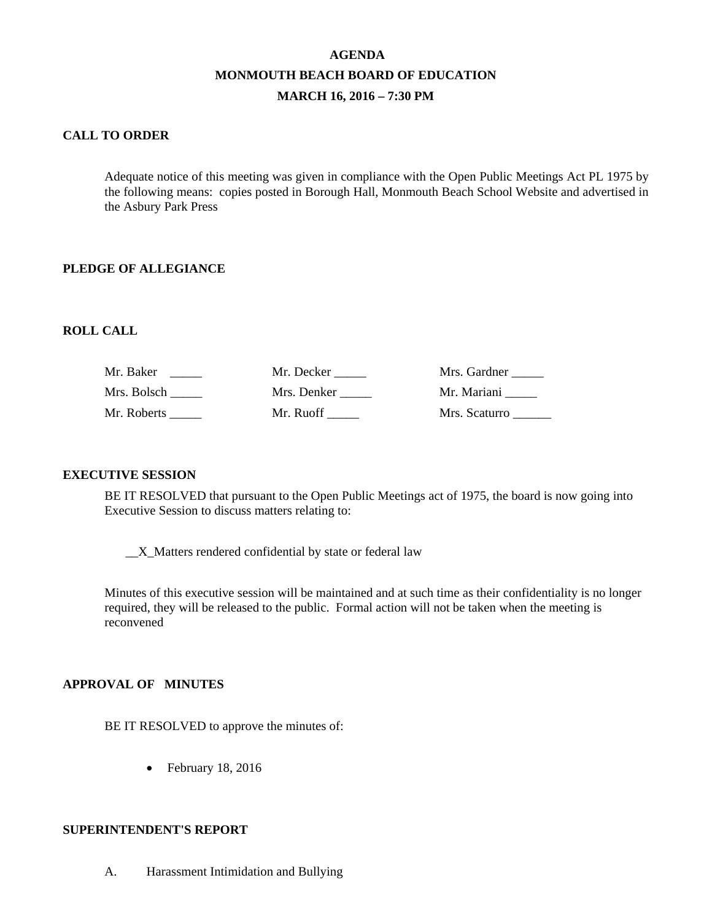# **AGENDA MONMOUTH BEACH BOARD OF EDUCATION MARCH 16, 2016 – 7:30 PM**

### **CALL TO ORDER**

Adequate notice of this meeting was given in compliance with the Open Public Meetings Act PL 1975 by the following means: copies posted in Borough Hall, Monmouth Beach School Website and advertised in the Asbury Park Press

#### **PLEDGE OF ALLEGIANCE**

#### **ROLL CALL**

| Mr. Baker   | Mr. Decker  | Mrs. Gardner  |
|-------------|-------------|---------------|
| Mrs. Bolsch | Mrs. Denker | Mr. Mariani   |
| Mr. Roberts | Mr. Ruoff   | Mrs. Scaturro |

#### **EXECUTIVE SESSION**

BE IT RESOLVED that pursuant to the Open Public Meetings act of 1975, the board is now going into Executive Session to discuss matters relating to:

\_\_X\_Matters rendered confidential by state or federal law

Minutes of this executive session will be maintained and at such time as their confidentiality is no longer required, they will be released to the public. Formal action will not be taken when the meeting is reconvened

#### **APPROVAL OF MINUTES**

BE IT RESOLVED to approve the minutes of:

• February 18, 2016

#### **SUPERINTENDENT'S REPORT**

A. Harassment Intimidation and Bullying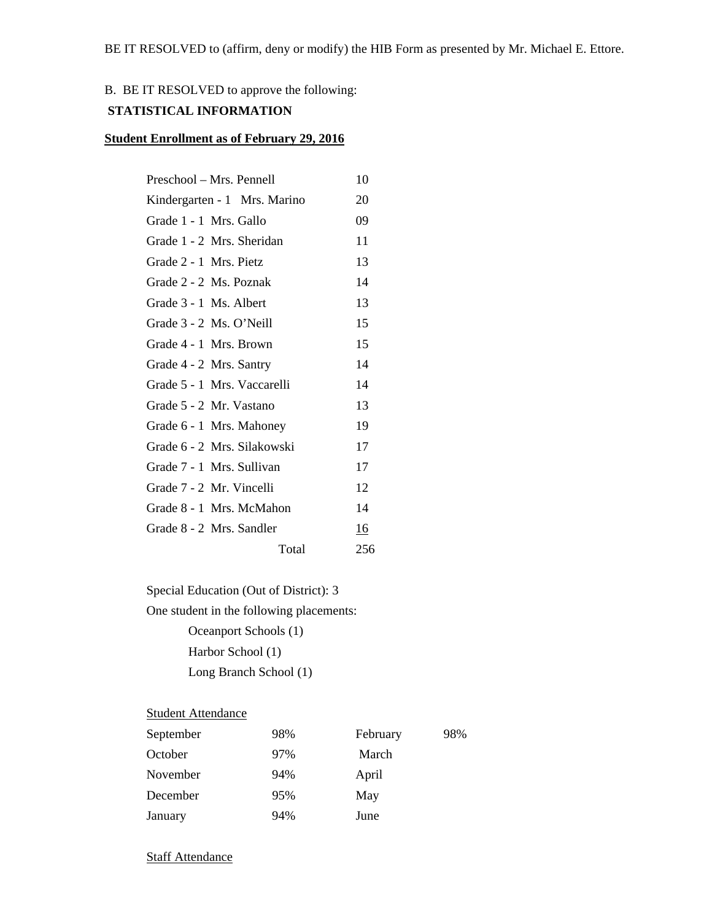## B. BE IT RESOLVED to approve the following:

### **STATISTICAL INFORMATION**

#### **Student Enrollment as of February 29, 2016**

| Preschool – Mrs. Pennell     | 10  |
|------------------------------|-----|
| Kindergarten - 1 Mrs. Marino | 20  |
| Grade 1 - 1 Mrs. Gallo       | 09  |
| Grade 1 - 2 Mrs. Sheridan    | 11  |
| Grade 2 - 1 Mrs. Pietz       | 13  |
| Grade 2 - 2 Ms. Poznak       | 14  |
| Grade 3 - 1 Ms. Albert       | 13  |
| Grade 3 - 2 Ms. O'Neill      | 15  |
| Grade 4 - 1 Mrs. Brown       | 15  |
| Grade 4 - 2 Mrs. Santry      | 14  |
| Grade 5 - 1 Mrs. Vaccarelli  | 14  |
| Grade 5 - 2 Mr. Vastano      | 13  |
| Grade 6 - 1 Mrs. Mahoney     | 19  |
| Grade 6 - 2 Mrs. Silakowski  | 17  |
| Grade 7 - 1 Mrs. Sullivan    | 17  |
| Grade 7 - 2 Mr. Vincelli     | 12  |
| Grade 8 - 1 Mrs. McMahon     | 14  |
| Grade 8 - 2 Mrs. Sandler     | 16  |
| Total                        | 256 |
|                              |     |

Special Education (Out of District): 3

One student in the following placements:

 Oceanport Schools (1) Harbor School (1) Long Branch School (1)

## **Student Attendance**

| September | 98% | February | 98% |
|-----------|-----|----------|-----|
| October   | 97% | March    |     |
| November  | 94% | April    |     |
| December  | 95% | May      |     |
| January   | 94% | June     |     |

**Staff Attendance**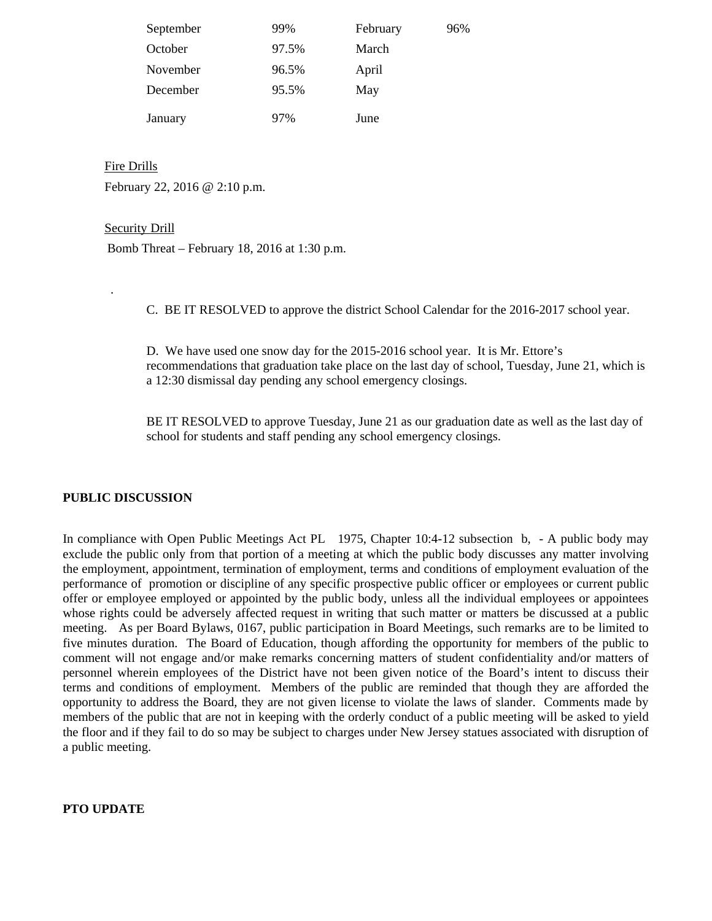| September | 99%   | February | 96% |
|-----------|-------|----------|-----|
| October   | 97.5% | March    |     |
| November  | 96.5% | April    |     |
| December  | 95.5% | May      |     |
| January   | 97%   | June     |     |

Fire Drills February 22, 2016 @ 2:10 p.m.

#### Security Drill

.

Bomb Threat – February 18, 2016 at 1:30 p.m.

C. BE IT RESOLVED to approve the district School Calendar for the 2016-2017 school year.

D. We have used one snow day for the 2015-2016 school year. It is Mr. Ettore's recommendations that graduation take place on the last day of school, Tuesday, June 21, which is a 12:30 dismissal day pending any school emergency closings.

BE IT RESOLVED to approve Tuesday, June 21 as our graduation date as well as the last day of school for students and staff pending any school emergency closings.

## **PUBLIC DISCUSSION**

In compliance with Open Public Meetings Act PL 1975, Chapter 10:4-12 subsection b, - A public body may exclude the public only from that portion of a meeting at which the public body discusses any matter involving the employment, appointment, termination of employment, terms and conditions of employment evaluation of the performance of promotion or discipline of any specific prospective public officer or employees or current public offer or employee employed or appointed by the public body, unless all the individual employees or appointees whose rights could be adversely affected request in writing that such matter or matters be discussed at a public meeting. As per Board Bylaws, 0167, public participation in Board Meetings, such remarks are to be limited to five minutes duration. The Board of Education, though affording the opportunity for members of the public to comment will not engage and/or make remarks concerning matters of student confidentiality and/or matters of personnel wherein employees of the District have not been given notice of the Board's intent to discuss their terms and conditions of employment. Members of the public are reminded that though they are afforded the opportunity to address the Board, they are not given license to violate the laws of slander. Comments made by members of the public that are not in keeping with the orderly conduct of a public meeting will be asked to yield the floor and if they fail to do so may be subject to charges under New Jersey statues associated with disruption of a public meeting.

#### **PTO UPDATE**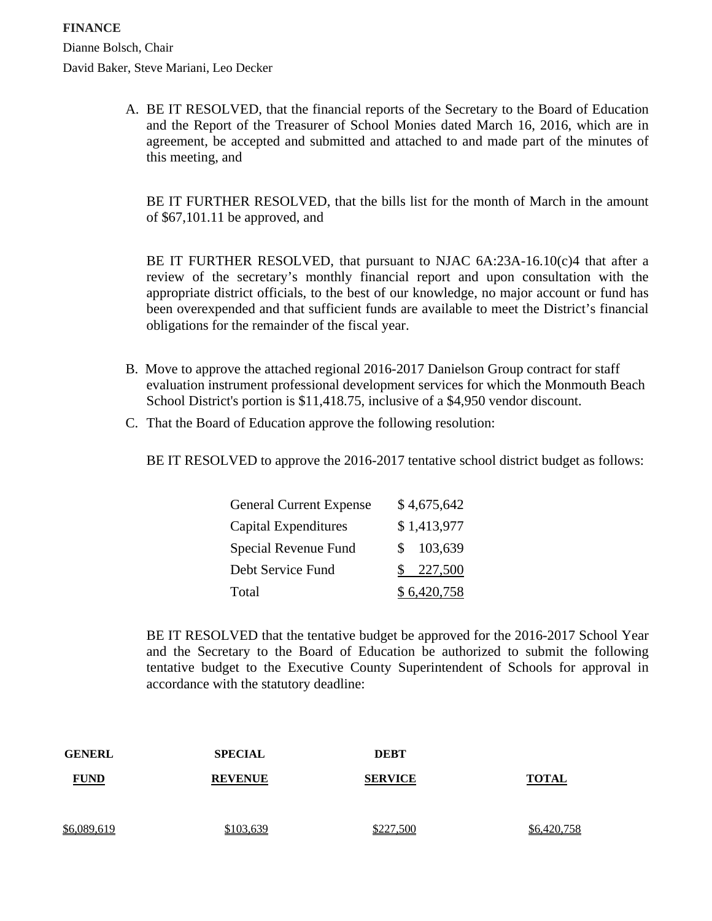A. BE IT RESOLVED, that the financial reports of the Secretary to the Board of Education and the Report of the Treasurer of School Monies dated March 16, 2016, which are in agreement, be accepted and submitted and attached to and made part of the minutes of this meeting, and

BE IT FURTHER RESOLVED, that the bills list for the month of March in the amount of \$67,101.11 be approved, and

BE IT FURTHER RESOLVED, that pursuant to NJAC  $6A:23A-16.10(c)4$  that after a review of the secretary's monthly financial report and upon consultation with the appropriate district officials, to the best of our knowledge, no major account or fund has been overexpended and that sufficient funds are available to meet the District's financial obligations for the remainder of the fiscal year.

- B. Move to approve the attached regional 2016-2017 Danielson Group contract for staff evaluation instrument professional development services for which the Monmouth Beach School District's portion is \$11,418.75, inclusive of a \$4,950 vendor discount.
- C. That the Board of Education approve the following resolution:

BE IT RESOLVED to approve the 2016-2017 tentative school district budget as follows:

| <b>General Current Expense</b> | \$4,675,642    |
|--------------------------------|----------------|
| Capital Expenditures           | \$1,413,977    |
| Special Revenue Fund           | 103,639<br>S.  |
| Debt Service Fund              | 227,500<br>SS. |
| Total                          | \$6,420,758    |

BE IT RESOLVED that the tentative budget be approved for the 2016-2017 School Year and the Secretary to the Board of Education be authorized to submit the following tentative budget to the Executive County Superintendent of Schools for approval in accordance with the statutory deadline:

| <b>GENERL</b> | <b>SPECIAL</b> | <b>DEBT</b>    |              |
|---------------|----------------|----------------|--------------|
| <b>FUND</b>   | <b>REVENUE</b> | <b>SERVICE</b> | <b>TOTAL</b> |
| \$6,089,619   | \$103,639      | \$227,500      | \$6,420,758  |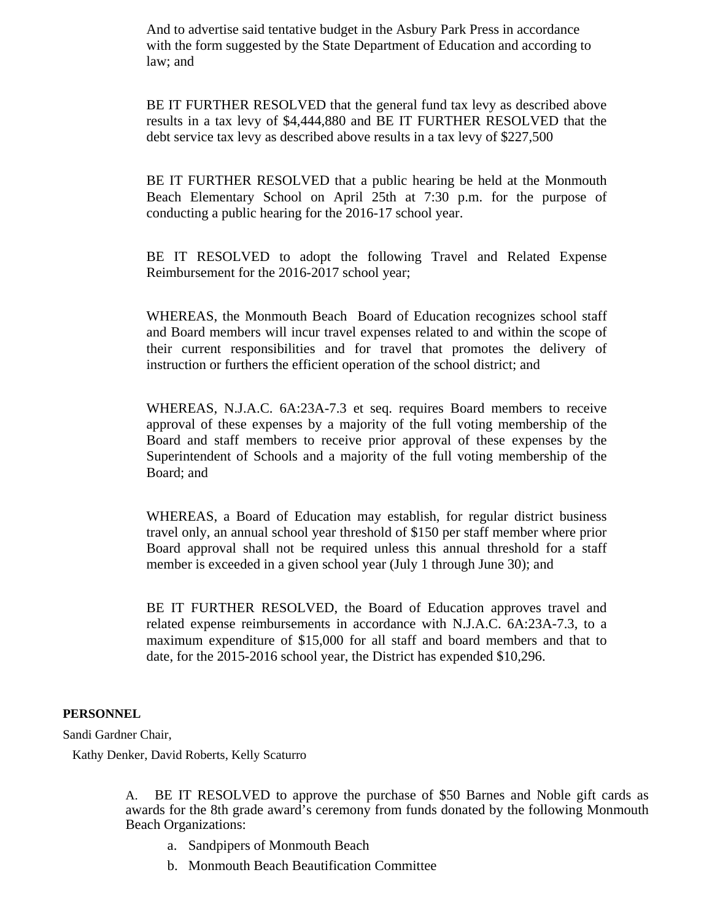And to advertise said tentative budget in the Asbury Park Press in accordance with the form suggested by the State Department of Education and according to law; and

BE IT FURTHER RESOLVED that the general fund tax levy as described above results in a tax levy of \$4,444,880 and BE IT FURTHER RESOLVED that the debt service tax levy as described above results in a tax levy of \$227,500

BE IT FURTHER RESOLVED that a public hearing be held at the Monmouth Beach Elementary School on April 25th at 7:30 p.m. for the purpose of conducting a public hearing for the 2016-17 school year.

BE IT RESOLVED to adopt the following Travel and Related Expense Reimbursement for the 2016-2017 school year;

WHEREAS, the Monmouth Beach Board of Education recognizes school staff and Board members will incur travel expenses related to and within the scope of their current responsibilities and for travel that promotes the delivery of instruction or furthers the efficient operation of the school district; and

WHEREAS, N.J.A.C. 6A:23A-7.3 et seq. requires Board members to receive approval of these expenses by a majority of the full voting membership of the Board and staff members to receive prior approval of these expenses by the Superintendent of Schools and a majority of the full voting membership of the Board; and

WHEREAS, a Board of Education may establish, for regular district business travel only, an annual school year threshold of \$150 per staff member where prior Board approval shall not be required unless this annual threshold for a staff member is exceeded in a given school year (July 1 through June 30); and

BE IT FURTHER RESOLVED, the Board of Education approves travel and related expense reimbursements in accordance with N.J.A.C. 6A:23A-7.3, to a maximum expenditure of \$15,000 for all staff and board members and that to date, for the 2015-2016 school year, the District has expended \$10,296.

#### **PERSONNEL**

Sandi Gardner Chair,

Kathy Denker, David Roberts, Kelly Scaturro

A. BE IT RESOLVED to approve the purchase of \$50 Barnes and Noble gift cards as awards for the 8th grade award's ceremony from funds donated by the following Monmouth Beach Organizations:

- a. Sandpipers of Monmouth Beach
- b. Monmouth Beach Beautification Committee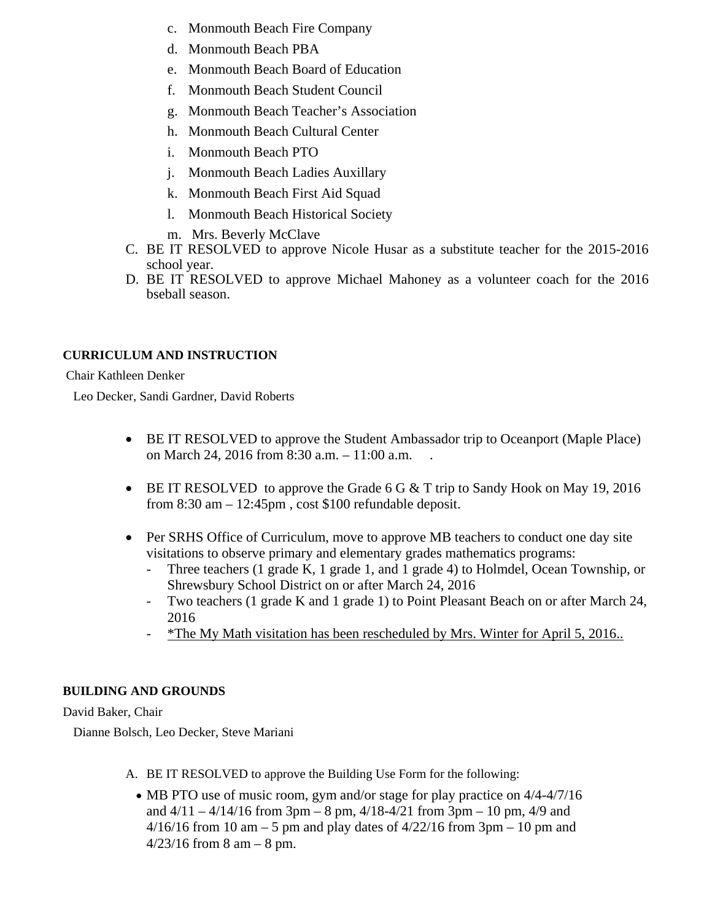- c. Monmouth Beach Fire Company
- d. Monmouth Beach PBA
- e. Monmouth Beach Board of Education
- f. Monmouth Beach Student Council
- g. Monmouth Beach Teacher's Association
- h. Monmouth Beach Cultural Center
- i. Monmouth Beach PTO
- j. Monmouth Beach Ladies Auxillary
- k. Monmouth Beach First Aid Squad
- l. Monmouth Beach Historical Society
- m. Mrs. Beverly McClave
- C. BE IT RESOLVED to approve Nicole Husar as a substitute teacher for the 2015-2016 school year.
- D. BE IT RESOLVED to approve Michael Mahoney as a volunteer coach for the 2016 bseball season.

## **CURRICULUM AND INSTRUCTION**

## Chair Kathleen Denker

Leo Decker, Sandi Gardner, David Roberts

- BE IT RESOLVED to approve the Student Ambassador trip to Oceanport (Maple Place) on March 24, 2016 from 8:30 a.m. – 11:00 a.m. .
- BE IT RESOLVED to approve the Grade 6 G  $&$  T trip to Sandy Hook on May 19, 2016 from 8:30 am – 12:45pm , cost \$100 refundable deposit.
- Per SRHS Office of Curriculum, move to approve MB teachers to conduct one day site visitations to observe primary and elementary grades mathematics programs:
	- Three teachers (1 grade K, 1 grade 1, and 1 grade 4) to Holmdel, Ocean Township, or Shrewsbury School District on or after March 24, 2016
	- Two teachers (1 grade K and 1 grade 1) to Point Pleasant Beach on or after March 24, 2016
	- \*The My Math visitation has been rescheduled by Mrs. Winter for April 5, 2016..

## **BUILDING AND GROUNDS**

## David Baker, Chair

Dianne Bolsch, Leo Decker, Steve Mariani

- A. BE IT RESOLVED to approve the Building Use Form for the following:
	- MB PTO use of music room, gym and/or stage for play practice on  $4/4-4/7/16$ and  $4/11 - 4/14/16$  from 3pm – 8 pm,  $4/18 - 4/21$  from 3pm – 10 pm,  $4/9$  and  $4/16/16$  from 10 am – 5 pm and play dates of  $4/22/16$  from 3pm – 10 pm and  $4/23/16$  from 8 am  $-8$  pm.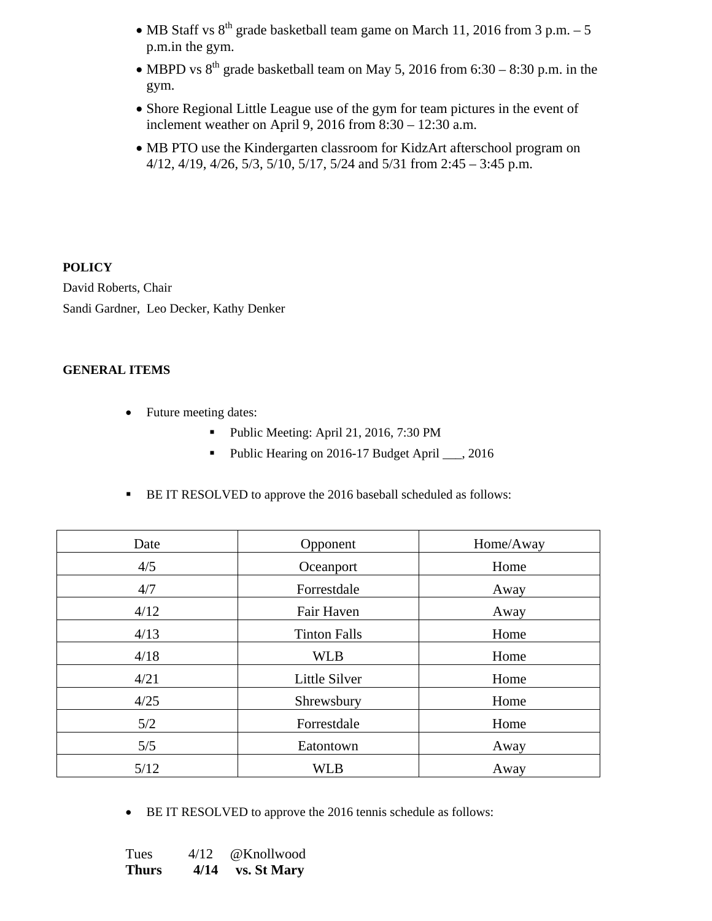- MB Staff vs  $8^{th}$  grade basketball team game on March 11, 2016 from 3 p.m. 5 p.m.in the gym.
- MBPD vs  $8^{th}$  grade basketball team on May 5, 2016 from 6:30 8:30 p.m. in the gym.
- Shore Regional Little League use of the gym for team pictures in the event of inclement weather on April 9, 2016 from 8:30 – 12:30 a.m.
- MB PTO use the Kindergarten classroom for KidzArt afterschool program on 4/12, 4/19, 4/26, 5/3, 5/10, 5/17, 5/24 and 5/31 from 2:45 – 3:45 p.m.

## **POLICY**

David Roberts, Chair Sandi Gardner, Leo Decker, Kathy Denker

## **GENERAL ITEMS**

- Future meeting dates:
	- Public Meeting: April 21, 2016, 7:30 PM
	- Public Hearing on 2016-17 Budget April \_\_\_, 2016
- BE IT RESOLVED to approve the 2016 baseball scheduled as follows:

| Date | Opponent            | Home/Away |
|------|---------------------|-----------|
| 4/5  | Oceanport           | Home      |
| 4/7  | Forrestdale         | Away      |
| 4/12 | Fair Haven          | Away      |
| 4/13 | <b>Tinton Falls</b> | Home      |
| 4/18 | <b>WLB</b>          | Home      |
| 4/21 | Little Silver       | Home      |
| 4/25 | Shrewsbury          | Home      |
| 5/2  | Forrestdale         | Home      |
| 5/5  | Eatontown           | Away      |
| 5/12 | <b>WLB</b>          | Away      |

• BE IT RESOLVED to approve the 2016 tennis schedule as follows:

| Tues         | 4/12 | @Knollwood         |
|--------------|------|--------------------|
| <b>Thurs</b> | 4/14 | <b>vs. St Mary</b> |